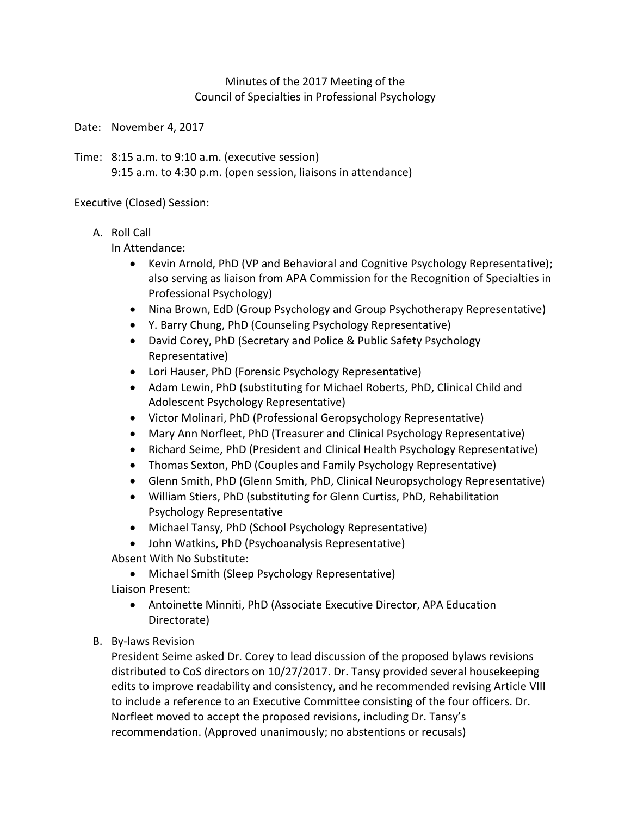## Minutes of the 2017 Meeting of the Council of Specialties in Professional Psychology

Date: November 4, 2017

Time: 8:15 a.m. to 9:10 a.m. (executive session) 9:15 a.m. to 4:30 p.m. (open session, liaisons in attendance)

Executive (Closed) Session:

### A. Roll Call

In Attendance:

- Kevin Arnold, PhD (VP and Behavioral and Cognitive Psychology Representative); also serving as liaison from APA Commission for the Recognition of Specialties in Professional Psychology)
- Nina Brown, EdD (Group Psychology and Group Psychotherapy Representative)
- Y. Barry Chung, PhD (Counseling Psychology Representative)
- David Corey, PhD (Secretary and Police & Public Safety Psychology Representative)
- Lori Hauser, PhD (Forensic Psychology Representative)
- Adam Lewin, PhD (substituting for Michael Roberts, PhD, Clinical Child and Adolescent Psychology Representative)
- Victor Molinari, PhD (Professional Geropsychology Representative)
- Mary Ann Norfleet, PhD (Treasurer and Clinical Psychology Representative)
- Richard Seime, PhD (President and Clinical Health Psychology Representative)
- Thomas Sexton, PhD (Couples and Family Psychology Representative)
- Glenn Smith, PhD (Glenn Smith, PhD, Clinical Neuropsychology Representative)
- William Stiers, PhD (substituting for Glenn Curtiss, PhD, Rehabilitation Psychology Representative
- Michael Tansy, PhD (School Psychology Representative)
- John Watkins, PhD (Psychoanalysis Representative)
- Absent With No Substitute:
	- Michael Smith (Sleep Psychology Representative)
- Liaison Present:
	- Antoinette Minniti, PhD (Associate Executive Director, APA Education Directorate)
- B. By-laws Revision

President Seime asked Dr. Corey to lead discussion of the proposed bylaws revisions distributed to CoS directors on 10/27/2017. Dr. Tansy provided several housekeeping edits to improve readability and consistency, and he recommended revising Article VIII to include a reference to an Executive Committee consisting of the four officers. Dr. Norfleet moved to accept the proposed revisions, including Dr. Tansy's recommendation. (Approved unanimously; no abstentions or recusals)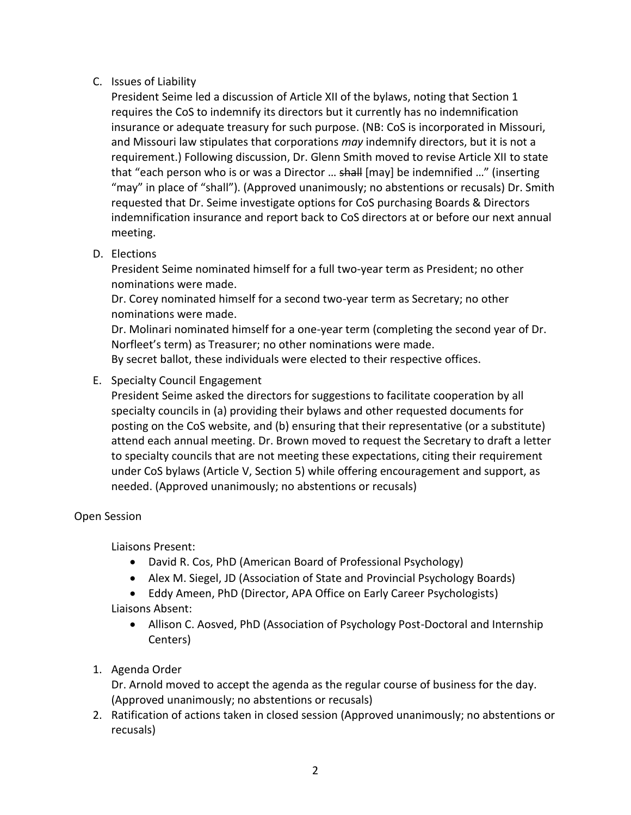# C. Issues of Liability

President Seime led a discussion of Article XII of the bylaws, noting that Section 1 requires the CoS to indemnify its directors but it currently has no indemnification insurance or adequate treasury for such purpose. (NB: CoS is incorporated in Missouri, and Missouri law stipulates that corporations *may* indemnify directors, but it is not a requirement.) Following discussion, Dr. Glenn Smith moved to revise Article XII to state that "each person who is or was a Director ... shall [may] be indemnified ..." (inserting "may" in place of "shall"). (Approved unanimously; no abstentions or recusals) Dr. Smith requested that Dr. Seime investigate options for CoS purchasing Boards & Directors indemnification insurance and report back to CoS directors at or before our next annual meeting.

# D. Elections

President Seime nominated himself for a full two-year term as President; no other nominations were made.

Dr. Corey nominated himself for a second two-year term as Secretary; no other nominations were made.

Dr. Molinari nominated himself for a one-year term (completing the second year of Dr. Norfleet's term) as Treasurer; no other nominations were made. By secret ballot, these individuals were elected to their respective offices.

# E. Specialty Council Engagement

President Seime asked the directors for suggestions to facilitate cooperation by all specialty councils in (a) providing their bylaws and other requested documents for posting on the CoS website, and (b) ensuring that their representative (or a substitute) attend each annual meeting. Dr. Brown moved to request the Secretary to draft a letter to specialty councils that are not meeting these expectations, citing their requirement under CoS bylaws (Article V, Section 5) while offering encouragement and support, as needed. (Approved unanimously; no abstentions or recusals)

## Open Session

Liaisons Present:

- David R. Cos, PhD (American Board of Professional Psychology)
- Alex M. Siegel, JD (Association of State and Provincial Psychology Boards)
- Eddy Ameen, PhD (Director, APA Office on Early Career Psychologists)

Liaisons Absent:

- Allison C. Aosved, PhD (Association of Psychology Post-Doctoral and Internship Centers)
- 1. Agenda Order

Dr. Arnold moved to accept the agenda as the regular course of business for the day. (Approved unanimously; no abstentions or recusals)

2. Ratification of actions taken in closed session (Approved unanimously; no abstentions or recusals)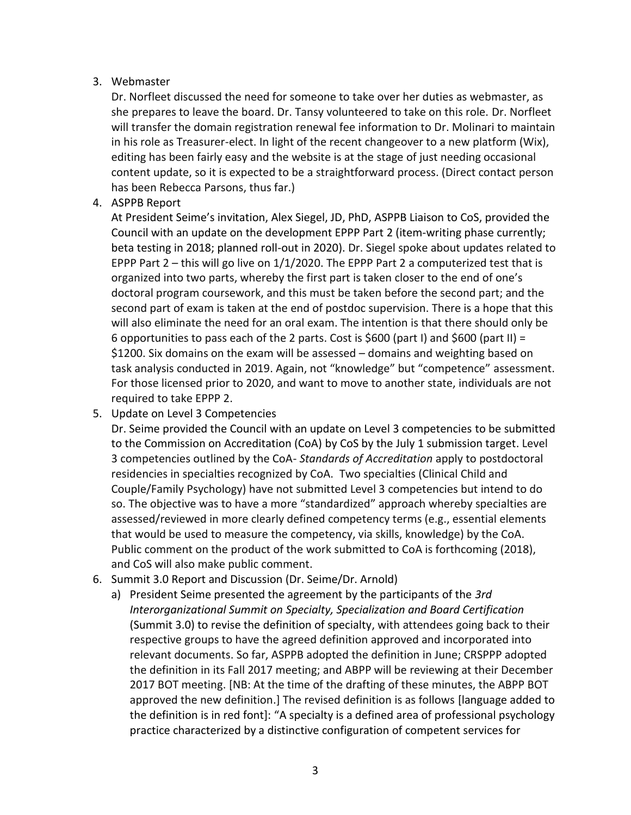## 3. Webmaster

Dr. Norfleet discussed the need for someone to take over her duties as webmaster, as she prepares to leave the board. Dr. Tansy volunteered to take on this role. Dr. Norfleet will transfer the domain registration renewal fee information to Dr. Molinari to maintain in his role as Treasurer-elect. In light of the recent changeover to a new platform (Wix), editing has been fairly easy and the website is at the stage of just needing occasional content update, so it is expected to be a straightforward process. (Direct contact person has been Rebecca Parsons, thus far.)

### 4. ASPPB Report

At President Seime's invitation, Alex Siegel, JD, PhD, ASPPB Liaison to CoS, provided the Council with an update on the development EPPP Part 2 (item-writing phase currently; beta testing in 2018; planned roll-out in 2020). Dr. Siegel spoke about updates related to EPPP Part  $2$  – this will go live on  $1/1/2020$ . The EPPP Part 2 a computerized test that is organized into two parts, whereby the first part is taken closer to the end of one's doctoral program coursework, and this must be taken before the second part; and the second part of exam is taken at the end of postdoc supervision. There is a hope that this will also eliminate the need for an oral exam. The intention is that there should only be 6 opportunities to pass each of the 2 parts. Cost is \$600 (part I) and \$600 (part II) = \$1200. Six domains on the exam will be assessed – domains and weighting based on task analysis conducted in 2019. Again, not "knowledge" but "competence" assessment. For those licensed prior to 2020, and want to move to another state, individuals are not required to take EPPP 2.

5. Update on Level 3 Competencies

Dr. Seime provided the Council with an update on Level 3 competencies to be submitted to the Commission on Accreditation (CoA) by CoS by the July 1 submission target. Level 3 competencies outlined by the CoA- *Standards of Accreditation* apply to postdoctoral residencies in specialties recognized by CoA. Two specialties (Clinical Child and Couple/Family Psychology) have not submitted Level 3 competencies but intend to do so. The objective was to have a more "standardized" approach whereby specialties are assessed/reviewed in more clearly defined competency terms (e.g., essential elements that would be used to measure the competency, via skills, knowledge) by the CoA. Public comment on the product of the work submitted to CoA is forthcoming (2018), and CoS will also make public comment.

- 6. Summit 3.0 Report and Discussion (Dr. Seime/Dr. Arnold)
	- a) President Seime presented the agreement by the participants of the *3rd Interorganizational Summit on Specialty, Specialization and Board Certification* (Summit 3.0) to revise the definition of specialty, with attendees going back to their respective groups to have the agreed definition approved and incorporated into relevant documents. So far, ASPPB adopted the definition in June; CRSPPP adopted the definition in its Fall 2017 meeting; and ABPP will be reviewing at their December 2017 BOT meeting. [NB: At the time of the drafting of these minutes, the ABPP BOT approved the new definition.] The revised definition is as follows [language added to the definition is in red font]: "A specialty is a defined area of professional psychology practice characterized by a distinctive configuration of competent services for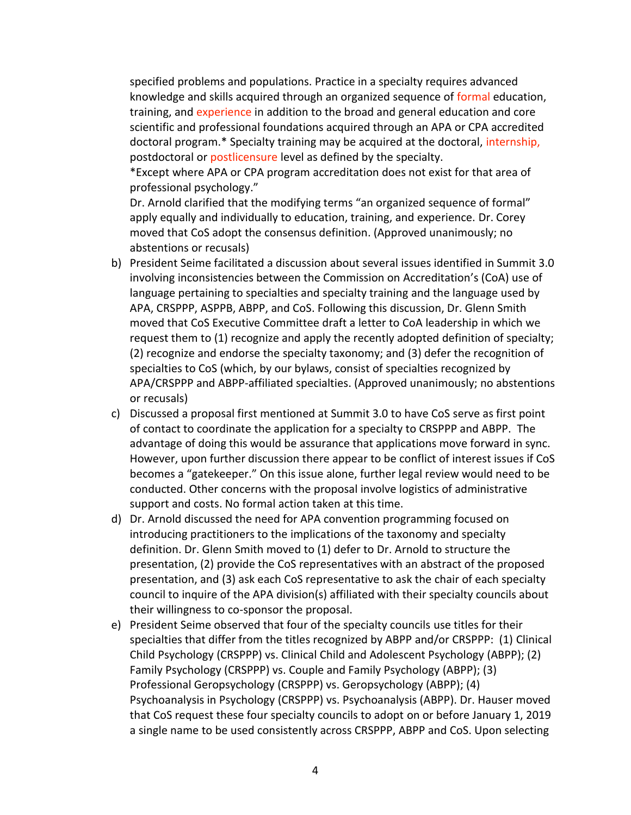specified problems and populations. Practice in a specialty requires advanced knowledge and skills acquired through an organized sequence of formal education, training, and experience in addition to the broad and general education and core scientific and professional foundations acquired through an APA or CPA accredited doctoral program.\* Specialty training may be acquired at the doctoral, internship, postdoctoral or postlicensure level as defined by the specialty.

\*Except where APA or CPA program accreditation does not exist for that area of professional psychology."

Dr. Arnold clarified that the modifying terms "an organized sequence of formal" apply equally and individually to education, training, and experience. Dr. Corey moved that CoS adopt the consensus definition. (Approved unanimously; no abstentions or recusals)

- b) President Seime facilitated a discussion about several issues identified in Summit 3.0 involving inconsistencies between the Commission on Accreditation's (CoA) use of language pertaining to specialties and specialty training and the language used by APA, CRSPPP, ASPPB, ABPP, and CoS. Following this discussion, Dr. Glenn Smith moved that CoS Executive Committee draft a letter to CoA leadership in which we request them to (1) recognize and apply the recently adopted definition of specialty; (2) recognize and endorse the specialty taxonomy; and (3) defer the recognition of specialties to CoS (which, by our bylaws, consist of specialties recognized by APA/CRSPPP and ABPP-affiliated specialties. (Approved unanimously; no abstentions or recusals)
- c) Discussed a proposal first mentioned at Summit 3.0 to have CoS serve as first point of contact to coordinate the application for a specialty to CRSPPP and ABPP. The advantage of doing this would be assurance that applications move forward in sync. However, upon further discussion there appear to be conflict of interest issues if CoS becomes a "gatekeeper." On this issue alone, further legal review would need to be conducted. Other concerns with the proposal involve logistics of administrative support and costs. No formal action taken at this time.
- d) Dr. Arnold discussed the need for APA convention programming focused on introducing practitioners to the implications of the taxonomy and specialty definition. Dr. Glenn Smith moved to (1) defer to Dr. Arnold to structure the presentation, (2) provide the CoS representatives with an abstract of the proposed presentation, and (3) ask each CoS representative to ask the chair of each specialty council to inquire of the APA division(s) affiliated with their specialty councils about their willingness to co-sponsor the proposal.
- e) President Seime observed that four of the specialty councils use titles for their specialties that differ from the titles recognized by ABPP and/or CRSPPP: (1) Clinical Child Psychology (CRSPPP) vs. Clinical Child and Adolescent Psychology (ABPP); (2) Family Psychology (CRSPPP) vs. Couple and Family Psychology (ABPP); (3) Professional Geropsychology (CRSPPP) vs. Geropsychology (ABPP); (4) Psychoanalysis in Psychology (CRSPPP) vs. Psychoanalysis (ABPP). Dr. Hauser moved that CoS request these four specialty councils to adopt on or before January 1, 2019 a single name to be used consistently across CRSPPP, ABPP and CoS. Upon selecting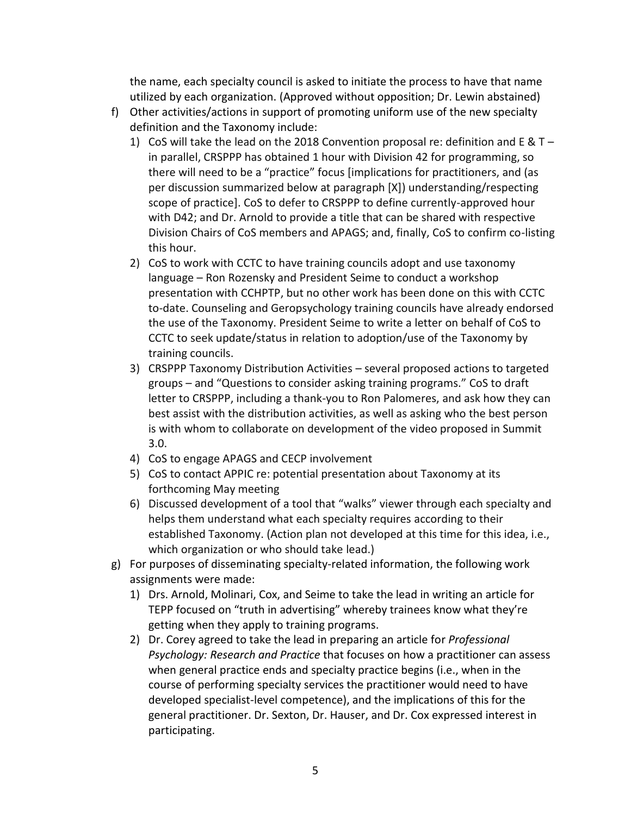the name, each specialty council is asked to initiate the process to have that name utilized by each organization. (Approved without opposition; Dr. Lewin abstained)

- f) Other activities/actions in support of promoting uniform use of the new specialty definition and the Taxonomy include:
	- 1) CoS will take the lead on the 2018 Convention proposal re: definition and E &  $T$ in parallel, CRSPPP has obtained 1 hour with Division 42 for programming, so there will need to be a "practice" focus [implications for practitioners, and (as per discussion summarized below at paragraph [X]) understanding/respecting scope of practice]. CoS to defer to CRSPPP to define currently-approved hour with D42; and Dr. Arnold to provide a title that can be shared with respective Division Chairs of CoS members and APAGS; and, finally, CoS to confirm co-listing this hour.
	- 2) CoS to work with CCTC to have training councils adopt and use taxonomy language – Ron Rozensky and President Seime to conduct a workshop presentation with CCHPTP, but no other work has been done on this with CCTC to-date. Counseling and Geropsychology training councils have already endorsed the use of the Taxonomy. President Seime to write a letter on behalf of CoS to CCTC to seek update/status in relation to adoption/use of the Taxonomy by training councils.
	- 3) CRSPPP Taxonomy Distribution Activities several proposed actions to targeted groups – and "Questions to consider asking training programs." CoS to draft letter to CRSPPP, including a thank-you to Ron Palomeres, and ask how they can best assist with the distribution activities, as well as asking who the best person is with whom to collaborate on development of the video proposed in Summit 3.0.
	- 4) CoS to engage APAGS and CECP involvement
	- 5) CoS to contact APPIC re: potential presentation about Taxonomy at its forthcoming May meeting
	- 6) Discussed development of a tool that "walks" viewer through each specialty and helps them understand what each specialty requires according to their established Taxonomy. (Action plan not developed at this time for this idea, i.e., which organization or who should take lead.)
- g) For purposes of disseminating specialty-related information, the following work assignments were made:
	- 1) Drs. Arnold, Molinari, Cox, and Seime to take the lead in writing an article for TEPP focused on "truth in advertising" whereby trainees know what they're getting when they apply to training programs.
	- 2) Dr. Corey agreed to take the lead in preparing an article for *Professional Psychology: Research and Practice* that focuses on how a practitioner can assess when general practice ends and specialty practice begins (i.e., when in the course of performing specialty services the practitioner would need to have developed specialist-level competence), and the implications of this for the general practitioner. Dr. Sexton, Dr. Hauser, and Dr. Cox expressed interest in participating.